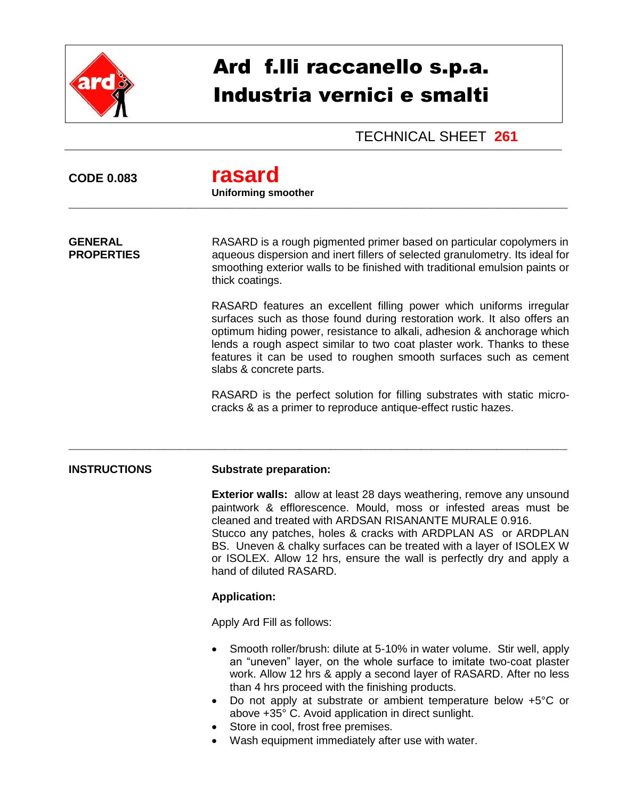

# Ard f.lli raccanello s.p.a. Industria vernici e smalti

## TECHNICAL SHEET **261**

# **CODE 0.083 rasard**

#### **Uniforming smoother**

\_\_\_\_\_\_\_\_\_\_\_\_\_\_\_\_\_\_\_\_\_\_\_\_\_\_\_\_\_\_\_\_\_\_\_\_\_\_\_\_\_\_\_\_\_\_\_\_\_\_\_\_\_\_\_\_\_\_\_\_\_\_\_\_\_\_\_\_\_\_\_\_\_\_\_\_\_\_\_\_\_\_\_\_\_\_\_\_\_\_\_\_\_\_\_\_\_\_\_

\_\_\_\_\_\_\_\_\_\_\_\_\_\_\_\_\_\_\_\_\_\_\_\_\_\_\_\_\_\_\_\_\_\_\_\_\_\_\_\_\_\_\_\_\_\_\_\_\_\_\_\_\_\_\_\_\_\_\_\_\_\_\_\_\_\_\_\_\_\_\_\_\_\_\_\_\_\_\_\_\_\_\_\_\_\_\_\_\_\_\_\_\_\_\_\_\_\_\_

**GENERAL** RASARD is a rough pigmented primer based on particular copolymers in **PROPERTIES** aqueous dispersion and inert fillers of selected granulometry. Its ideal for smoothing exterior walls to be finished with traditional emulsion paints or thick coatings.

> RASARD features an excellent filling power which uniforms irregular surfaces such as those found during restoration work. It also offers an optimum hiding power, resistance to alkali, adhesion & anchorage which lends a rough aspect similar to two coat plaster work. Thanks to these features it can be used to roughen smooth surfaces such as cement slabs & concrete parts.

> RASARD is the perfect solution for filling substrates with static microcracks & as a primer to reproduce antique-effect rustic hazes.

### **INSTRUCTIONS Substrate preparation:**

**Exterior walls:** allow at least 28 days weathering, remove any unsound paintwork & efflorescence. Mould, moss or infested areas must be cleaned and treated with ARDSAN RISANANTE MURALE 0.916. Stucco any patches, holes & cracks with ARDPLAN AS or ARDPLAN BS. Uneven & chalky surfaces can be treated with a layer of ISOLEX W or ISOLEX. Allow 12 hrs, ensure the wall is perfectly dry and apply a hand of diluted RASARD.

#### **Application:**

Apply Ard Fill as follows:

- Smooth roller/brush: dilute at 5-10% in water volume. Stir well, apply an "uneven" layer, on the whole surface to imitate two-coat plaster work. Allow 12 hrs & apply a second layer of RASARD. After no less than 4 hrs proceed with the finishing products.
- Do not apply at substrate or ambient temperature below +5°C or above +35° C. Avoid application in direct sunlight.
- Store in cool, frost free premises.
- Wash equipment immediately after use with water.